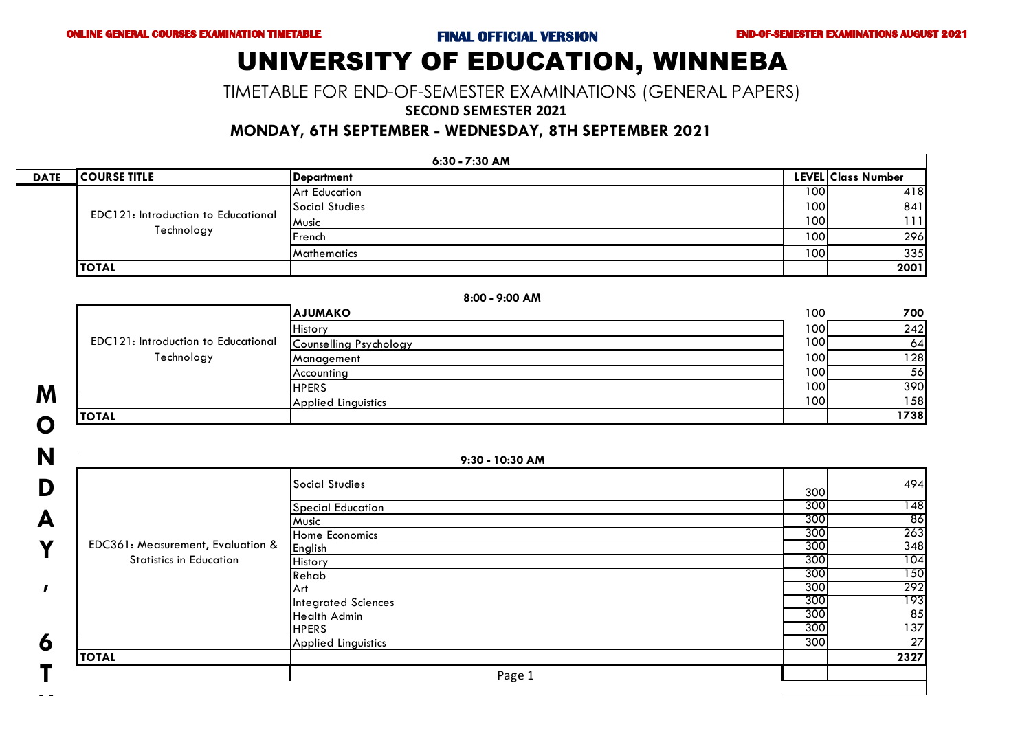# UNIVERSITY OF EDUCATION, WINNEBA

TIMETABLE FOR END-OF-SEMESTER EXAMINATIONS (GENERAL PAPERS)

### **SECOND SEMESTER 2021**

### **MONDAY, 6TH SEPTEMBER - WEDNESDAY, 8TH SEPTEMBER 2021**

| 6:30 - 7:30 AM |                                                          |                    |                  |                    |
|----------------|----------------------------------------------------------|--------------------|------------------|--------------------|
| <b>DATE</b>    | <b>ICOURSE TITLE</b>                                     | <b>Department</b>  |                  | LEVEL Class Number |
|                |                                                          | Art Education      | 1001             | 418                |
|                | <b>EDC121: Introduction to Educational</b><br>Technology | Social Studies     | 100              | 841                |
|                |                                                          | Music              | 1001             | 1111               |
|                |                                                          | <b>IFrench</b>     | 100 l            | <b>296</b>         |
|                |                                                          | <b>Mathematics</b> | 100 <sub>l</sub> | 335                |
|                | <b>TOTAL</b>                                             |                    |                  | 2001               |

|                                            | 8:00 - 9:00 AM             |                  |      |  |  |  |
|--------------------------------------------|----------------------------|------------------|------|--|--|--|
|                                            | <b>AJUMAKO</b>             | 100              | 700  |  |  |  |
|                                            | History                    | 1001             | 242  |  |  |  |
| <b>EDC121: Introduction to Educational</b> | Counselling Psychology     | 100 <sub>l</sub> | 64   |  |  |  |
| Technology                                 | Management                 | 100 <sub>1</sub> | 128  |  |  |  |
|                                            | Accounting                 | 100 l            | 56   |  |  |  |
|                                            | <b>HPERS</b>               | 100 l            | 390  |  |  |  |
|                                            | <b>Applied Linguistics</b> | 100              | 158  |  |  |  |
| <b>TOTAL</b>                               |                            |                  | 1738 |  |  |  |

| Õ |
|---|
| N |
| D |
| А |
| Y |
|   |
| 6 |
| Ť |

**M**

 $\blacksquare$ 

|                                   | 9:30 - 10:30 AM            |     |      |
|-----------------------------------|----------------------------|-----|------|
|                                   | <b>Social Studies</b>      | 300 | 494  |
|                                   | <b>Special Education</b>   | 300 | 148  |
|                                   | Music                      | 300 | 86   |
|                                   | Home Economics             | 300 | 263  |
| EDC361: Measurement, Evaluation & | English                    | 300 | 348  |
| <b>Statistics in Education</b>    | History                    | 300 | 104  |
|                                   | Rehab                      | 300 | 150  |
|                                   | Art                        | 300 | 292  |
|                                   | <b>Integrated Sciences</b> | 300 | 193  |
|                                   | <b>Health Admin</b>        | 300 | 85   |
|                                   | <b>HPERS</b>               | 300 | 137  |
|                                   | <b>Applied Linguistics</b> | 300 | 27   |
| <b>TOTAL</b>                      |                            |     | 2327 |
|                                   | Page 1                     |     |      |
|                                   |                            |     |      |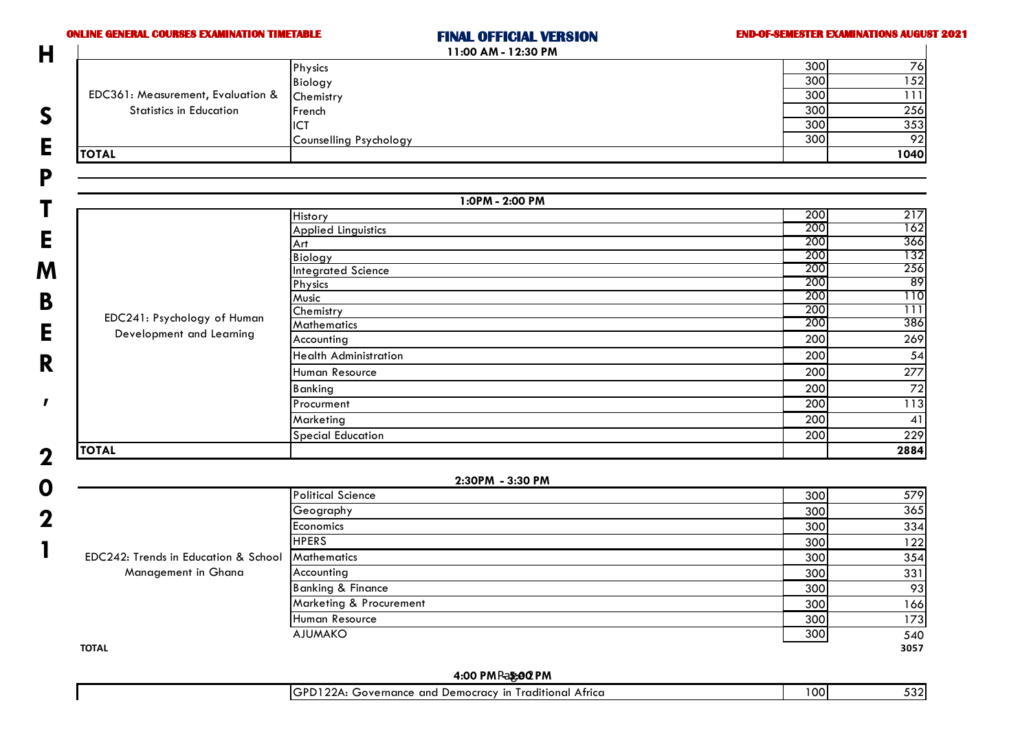| <b>ONLINE GENERAL COURSES EXAMINATION TIMETABLE</b> | <b>FINAL OFFICIAL VERSION</b><br>11:00 AM - 12:30 PM | <b>END-OF-SEMESTER EXAMINATIONS AUGUST 2021</b> |
|-----------------------------------------------------|------------------------------------------------------|-------------------------------------------------|
|                                                     | Physics                                              | 300<br>$\overline{76}$                          |
|                                                     | <b>Biology</b>                                       | 152<br>300                                      |
| EDC361: Measurement, Evaluation &                   | Chemistry                                            | 300<br>$\overline{111}$                         |
| <b>Statistics in Education</b>                      | French                                               | 300<br>256                                      |
|                                                     | <b>ICT</b>                                           | 300<br>353                                      |
|                                                     | Counselling Psychology                               | 92<br>300                                       |
| <b>TOTAL</b>                                        |                                                      | 1040                                            |
|                                                     |                                                      |                                                 |
|                                                     | 1:0PM - 2:00 PM                                      |                                                 |
|                                                     | History                                              | 200<br>217<br>200                               |
|                                                     | <b>Applied Linguistics</b>                           | 162<br>200<br>366                               |
|                                                     | Art<br>Biology                                       | 200<br>132                                      |
|                                                     | <b>Integrated Science</b>                            | 200<br>256                                      |
|                                                     | Physics                                              | 200<br>-89                                      |
|                                                     | Music                                                | 200<br>110                                      |
|                                                     | Chemistry                                            | 200<br>111                                      |
| EDC241: Psychology of Human                         | <b>Mathematics</b>                                   | 200<br>386                                      |
| Development and Learning                            | Accounting                                           | 200<br>269                                      |
|                                                     | <b>Health Administration</b>                         | 200<br>54                                       |
|                                                     | Human Resource                                       | 200<br>277                                      |
|                                                     | <b>Banking</b>                                       | $\overline{72}$<br>200                          |
|                                                     | Procurment                                           | 200<br>$\overline{113}$                         |
|                                                     | Marketing                                            | 200<br>41                                       |
|                                                     | <b>Special Education</b>                             | 229<br>200                                      |
| <b>TOTAL</b>                                        |                                                      | 2884                                            |
|                                                     | 2:30PM - 3:30 PM                                     |                                                 |
|                                                     | <b>Political Science</b>                             | 579<br>300                                      |
|                                                     | Geography                                            | 365<br>300                                      |
|                                                     | Economics                                            | 300<br>334                                      |
|                                                     | <b>HPERS</b>                                         | 300<br>122                                      |
| EDC242: Trends in Education & School                | <b>Mathematics</b>                                   | 300<br>354                                      |
| Management in Ghana                                 | Accounting                                           | 331<br>300                                      |
|                                                     | <b>Banking &amp; Finance</b>                         | 300<br>93                                       |
|                                                     | Marketing & Procurement                              | 300<br>166                                      |
|                                                     | Human Resource                                       | 300<br>173                                      |
|                                                     | <b>AJUMAKO</b>                                       | 300<br>540                                      |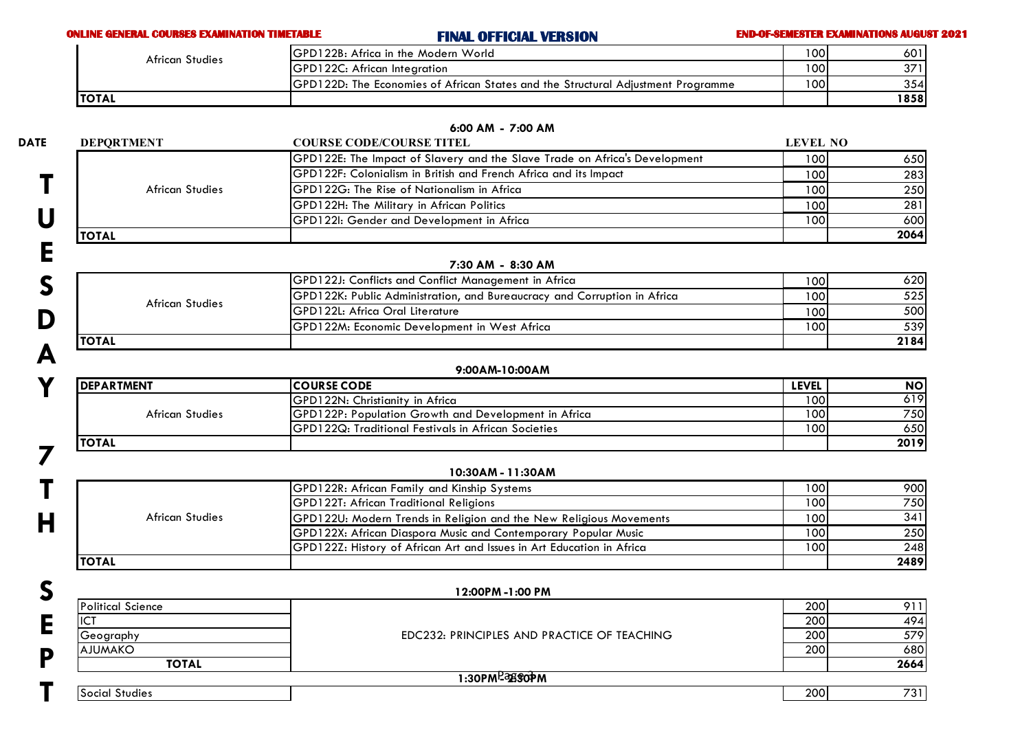## **ONLINE GENERAL COURSES EXAMINATION TIMETABLE FINAL OFFICIAL VERSION END-OF-SEMESTER EXAMINATIONS AUGUST 2021**

| <b>African Studies</b> | IGPD122B: Africa in the Modern World                                                     | 1001 | 601   |
|------------------------|------------------------------------------------------------------------------------------|------|-------|
|                        | GPD122C: African Integration                                                             | 1001 | 371   |
|                        | <b>IGPD122D:</b> The Economies of African States and the Structural Adjustment Programme | 1001 | 354   |
| <b>ITOTAL</b>          |                                                                                          |      | 1858I |

|                        | 6:00 AM - 7:00 AM                                                          |                 |           |
|------------------------|----------------------------------------------------------------------------|-----------------|-----------|
| <b>DEPORTMENT</b>      | <b>COURSE CODE/COURSE TITEL</b>                                            | <b>LEVEL NO</b> |           |
|                        | GPD122E: The Impact of Slavery and the Slave Trade on Africa's Development | 100             | 650       |
|                        | GPD122F: Colonialism in British and French Africa and its Impact           | 100             | 283       |
| African Studies        | GPD122G: The Rise of Nationalism in Africa                                 | 100             | 250       |
|                        | GPD122H: The Military in African Politics                                  | 100             | 281       |
|                        | GPD122I: Gender and Development in Africa                                  | 100             | 600       |
| <b>TOTAL</b>           |                                                                            |                 | 2064      |
|                        |                                                                            |                 |           |
|                        | 7:30 AM - 8:30 AM                                                          |                 |           |
|                        | GPD122J: Conflicts and Conflict Management in Africa                       | 100             | 620       |
| <b>African Studies</b> | GPD122K: Public Administration, and Bureaucracy and Corruption in Africa   | 100             | 525       |
|                        | GPD122L: Africa Oral Literature                                            | 100             | 500       |
|                        | GPD122M: Economic Development in West Africa                               | 100             | 539       |
| <b>TOTAL</b>           |                                                                            |                 | 2184      |
|                        |                                                                            |                 |           |
| <b>DEPARTMENT</b>      | 9:00AM-10:00AM<br><b>COURSE CODE</b>                                       | <b>LEVEL</b>    | <b>NO</b> |
|                        | GPD122N: Christianity in Africa                                            | 100             | 619       |
| <b>African Studies</b> | GPD122P: Population Growth and Development in Africa                       | 100             | 750       |
|                        | GPD122Q: Traditional Festivals in African Societies                        | 100             | 650       |
| <b>TOTAL</b>           |                                                                            |                 | 2019      |
|                        |                                                                            |                 |           |
|                        | 10:30AM - 11:30AM                                                          |                 |           |
|                        | GPD122R: African Family and Kinship Systems                                | 100             | 900       |
|                        | IGPD122T: African Traditional Religions                                    | 100             | 750       |

|                 | <b>GPD122T: African Traditional Religions</b>                             | 1001 | 750  |
|-----------------|---------------------------------------------------------------------------|------|------|
| African Studies | <b>GPD122U: Modern Trends in Religion and the New Religious Movements</b> | 1001 | 341I |
|                 | <b>GPD122X: African Diaspora Music and Contemporary Popular Music</b>     | 1001 | 250  |
|                 | GPD122Z: History of African Art and Issues in Art Education in Africa     | 1001 | 248I |
| <b>ITOTAL</b>   |                                                                           |      | 2489 |

| J |                          | 12:00PM -1:00 PM                            |            |      |
|---|--------------------------|---------------------------------------------|------------|------|
|   | <b>Political Science</b> |                                             | <b>200</b> | 911  |
| F | IC <sup>T</sup>          |                                             | <b>200</b> | 494  |
| D | Geography                | EDC232: PRINCIPLES AND PRACTICE OF TEACHING | <b>200</b> | 579  |
|   | <b>AJUMAKO</b>           |                                             | <b>200</b> | 680  |
|   | <b>TOTAL</b>             |                                             |            | 2664 |
|   |                          | ।:30PM <sup>P</sup> ିଅଞି\$ଫିM               |            |      |
|   | <b>Social Studies</b>    |                                             | <b>200</b> | 731) |
|   |                          |                                             |            |      |

**H**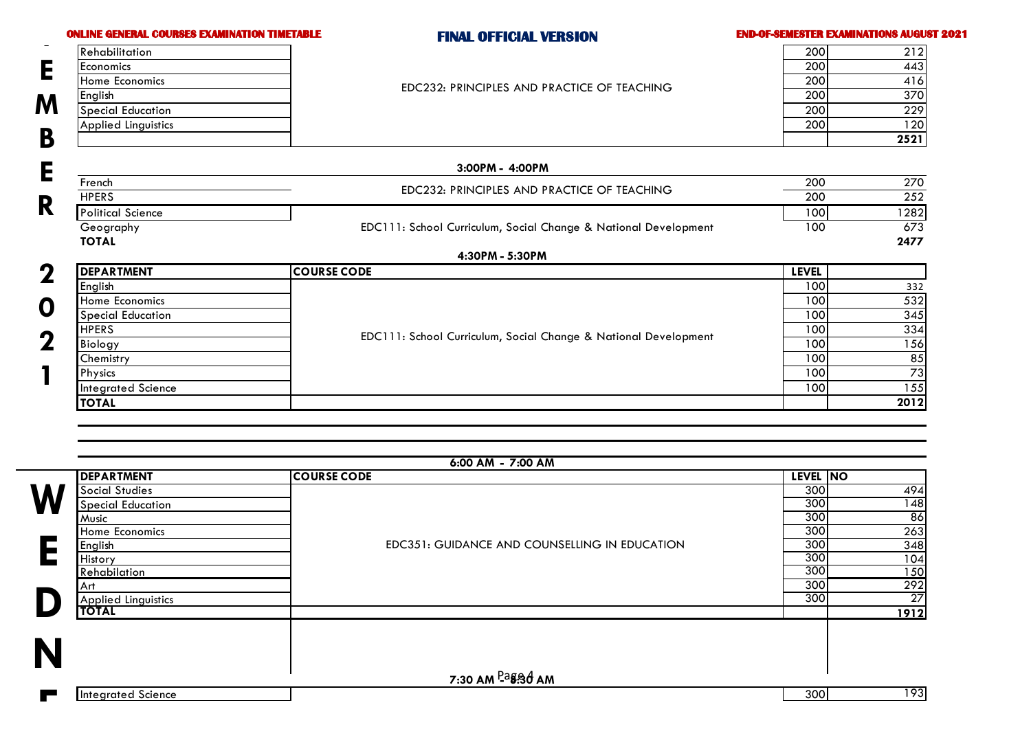| 200<br>$\overline{200}$<br>200<br>200<br>200<br>200<br>$\overline{200}$<br>200<br>100<br>100<br><b>LEVEL</b><br>100 | 212<br>443<br>416<br>370<br>229<br>120<br>2521<br>270<br>252<br>1282<br>673<br>2477 |
|---------------------------------------------------------------------------------------------------------------------|-------------------------------------------------------------------------------------|
|                                                                                                                     |                                                                                     |
|                                                                                                                     |                                                                                     |
|                                                                                                                     |                                                                                     |
|                                                                                                                     |                                                                                     |
|                                                                                                                     |                                                                                     |
|                                                                                                                     |                                                                                     |
|                                                                                                                     |                                                                                     |
|                                                                                                                     |                                                                                     |
|                                                                                                                     |                                                                                     |
|                                                                                                                     |                                                                                     |
|                                                                                                                     |                                                                                     |
|                                                                                                                     |                                                                                     |
|                                                                                                                     |                                                                                     |
|                                                                                                                     |                                                                                     |
|                                                                                                                     |                                                                                     |
|                                                                                                                     | 332                                                                                 |
| 100                                                                                                                 | 532                                                                                 |
| 100                                                                                                                 | 345                                                                                 |
| 100                                                                                                                 | 334                                                                                 |
| 100                                                                                                                 | 156                                                                                 |
| 100                                                                                                                 | 85                                                                                  |
| 100                                                                                                                 | 73                                                                                  |
| 100                                                                                                                 | 155                                                                                 |
|                                                                                                                     | 2012                                                                                |
|                                                                                                                     |                                                                                     |

7:30 AM <sup>Pa</sup>ፄံືື່ອງ AM

Applied Linguistics 27 **TOTAL 1912**

| 300<br><b>I</b> Intearated<br>Science |
|---------------------------------------|
|---------------------------------------|

**D**

**N**

**E**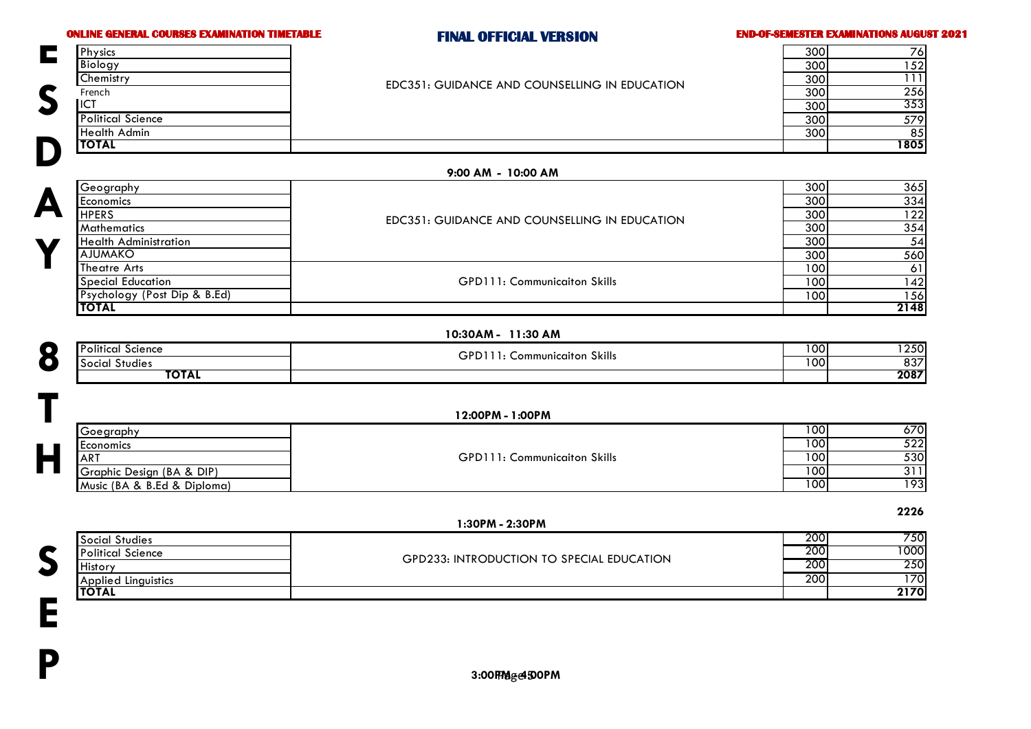**S**

**E**

**P**

### **ONLINE GENERAL COURSES EXAMINATION TIMETABLE FINAL OFFICIAL VERSION END-OF-SEMESTER EXAMINATIONS AUGUST 2021**

**2226**

| Physics                  |                                               | 300 | 761        |
|--------------------------|-----------------------------------------------|-----|------------|
| Biology                  |                                               | 300 | 52         |
| Chemistry                | EDC351: GUIDANCE AND COUNSELLING IN EDUCATION | 300 | 111        |
| French                   |                                               | 300 | <b>256</b> |
| <b>ICT</b>               |                                               | 300 | 353        |
| <b>Political Science</b> |                                               | 300 | 579I       |
| <b>Health Admin</b>      |                                               | 300 | 85         |
| <b>TOTAL</b>             |                                               |     | 1805       |
|                          |                                               |     |            |

### **9:00 AM - 10:00 AM**

|           | Geography                    |                                               | 300              | 365  |
|-----------|------------------------------|-----------------------------------------------|------------------|------|
|           | <b>I</b> Economics           |                                               | 300              | 334  |
| $\Gamma$  | <b>HPERS</b>                 | EDC351: GUIDANCE AND COUNSELLING IN EDUCATION | 300              | 122  |
| <b>17</b> | <b>Mathematics</b>           |                                               | 300              | 354  |
|           | Health Administration        |                                               | 300              | 54   |
|           | <b>AJUMAKO</b>               |                                               | 300              | 560  |
|           | Theatre Arts                 |                                               | 100 <sub>1</sub> | 61   |
|           | <b>Special Education</b>     | <b>GPD111: Communication Skills</b>           | 100 <sub>1</sub> | 142  |
|           | Psychology (Post Dip & B.Ed) |                                               | 100              | 156  |
|           | <b>TOTAL</b>                 |                                               |                  | 2148 |

### **10:30AM - 11:30 AM**

|                          |       | 10:30AM - 11:30 AM           |        |      |
|--------------------------|-------|------------------------------|--------|------|
| <b>Political Science</b> |       |                              | I 00 I | 1250 |
| <b>Social Studies</b>    |       | GPD111: Communicaiton Skills | 100    | 837  |
|                          | ΤΟΤΑΙ |                              |        | 2087 |

|                                             |  | 12:00PM - 1:00PM                    |     |        |
|---------------------------------------------|--|-------------------------------------|-----|--------|
| Goegraphy                                   |  |                                     | 100 | 670    |
| Economics<br>$\blacksquare$                 |  | <b>GPD111: Communicaiton Skills</b> | 100 | 522    |
| <b>ART</b>                                  |  |                                     | 100 | 530    |
| $\blacksquare$<br>Graphic Design (BA & DIP) |  |                                     | 100 | 311    |
| Music (BA & B.Ed & Diploma)                 |  |                                     | 100 | 1931   |
|                                             |  |                                     |     | $\sim$ |

|                            | 1:30PM - 2:30PM                                  |            |              |
|----------------------------|--------------------------------------------------|------------|--------------|
| Social Studies             |                                                  |            | 750<br>200 I |
| <b>Political Science</b>   | <b>GPD233: INTRODUCTION TO SPECIAL EDUCATION</b> | <b>200</b> | 1000         |
| <b>History</b>             |                                                  | 200        | 250          |
| <b>Applied Linguistics</b> |                                                  | <b>200</b> | 1701         |
| <b>TOTAL</b>               |                                                  |            | 2170         |